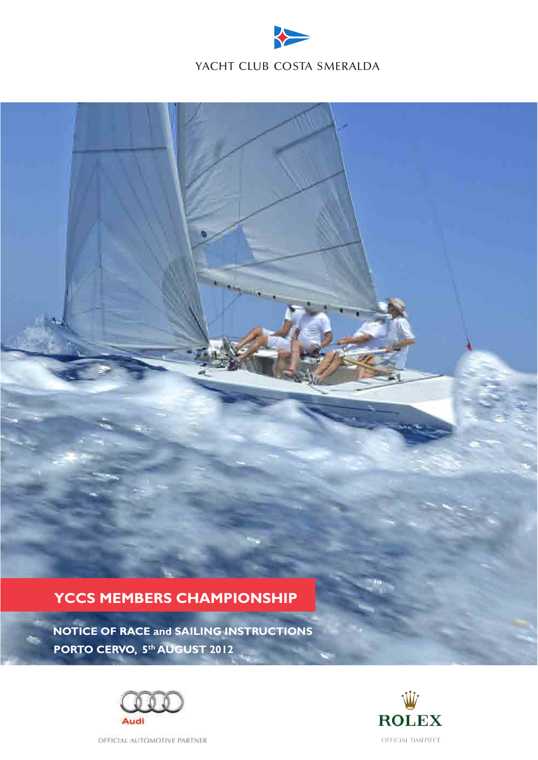

# **YCCS MEMBERS CHAMPIONSHIP**

 **NOTICE OF RACE and SAILING INSTRUCTIONS PORTO CERVO, 5th AUGUST 2012**





OFFICIAL AUTOMOTIVE PARTNER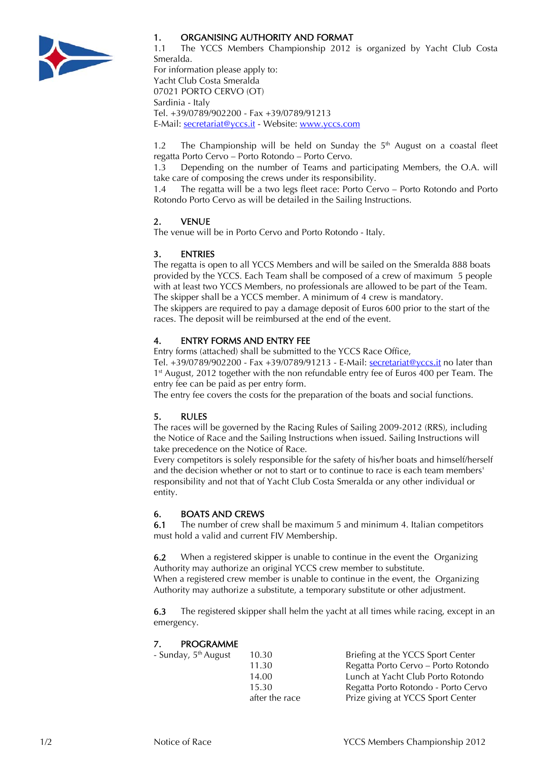

# 1. ORGANISING AUTHORITY AND FORMAT

Tel. +39/0789/902200 - Fax +39/0789/91213 E-Mail: secretariat@yccs.it - Website: www.yccs.com

1.1 The YCCS Members Championship 2012 is organized by Yacht Club Costa Smeralda. For information please apply to: Yacht Club Costa Smeralda 07021 PORTO CERVO (OT) Sardinia - Italy

1.2 The Championship will be held on Sunday the  $5<sup>th</sup>$  August on a coastal fleet regatta Porto Cervo – Porto Rotondo – Porto Cervo.

1.3 Depending on the number of Teams and participating Members, the O.A. will take care of composing the crews under its responsibility.

1.4 The regatta will be a two legs fleet race: Porto Cervo – Porto Rotondo and Porto Rotondo Porto Cervo as will be detailed in the Sailing Instructions.

# 2. VENUE

The venue will be in Porto Cervo and Porto Rotondo - Italy.

# 3. ENTRIES

The regatta is open to all YCCS Members and will be sailed on the Smeralda 888 boats provided by the YCCS. Each Team shall be composed of a crew of maximum 5 people with at least two YCCS Members, no professionals are allowed to be part of the Team. The skipper shall be a YCCS member. A minimum of 4 crew is mandatory.

The skippers are required to pay a damage deposit of Euros 600 prior to the start of the races. The deposit will be reimbursed at the end of the event.

# 4. ENTRY FORMS AND ENTRY FEE

Entry forms (attached) shall be submitted to the YCCS Race Office,

Tel. +39/0789/902200 - Fax +39/0789/91213 - E-Mail: <u>secretariat@yccs.it</u> no later than 1<sup>st</sup> August, 2012 together with the non refundable entry fee of Euros 400 per Team. The entry fee can be paid as per entry form.

The entry fee covers the costs for the preparation of the boats and social functions.

# 5. RULES

The races will be governed by the Racing Rules of Sailing 2009-2012 (RRS), including the Notice of Race and the Sailing Instructions when issued. Sailing Instructions will take precedence on the Notice of Race.

Every competitors is solely responsible for the safety of his/her boats and himself/herself and the decision whether or not to start or to continue to race is each team members' responsibility and not that of Yacht Club Costa Smeralda or any other individual or entity.

# 6. BOATS AND CREWS

6.1 The number of crew shall be maximum 5 and minimum 4. Italian competitors must hold a valid and current FIV Membership.

6.2 When a registered skipper is unable to continue in the event the Organizing Authority may authorize an original YCCS crew member to substitute. When a registered crew member is unable to continue in the event, the Organizing Authority may authorize a substitute, a temporary substitute or other adjustment.

6.3 The registered skipper shall helm the yacht at all times while racing, except in an emergency.

# 7. PROGRAMME

| - Sunday, 5 <sup>th</sup> August | 10.30          | Briefing at the YCCS Sport Center   |
|----------------------------------|----------------|-------------------------------------|
|                                  | 11.30          | Regatta Porto Cervo - Porto Rotondo |
|                                  | 14.00          | Lunch at Yacht Club Porto Rotondo   |
|                                  | 15.30          | Regatta Porto Rotondo - Porto Cervo |
|                                  | after the race | Prize giving at YCCS Sport Center   |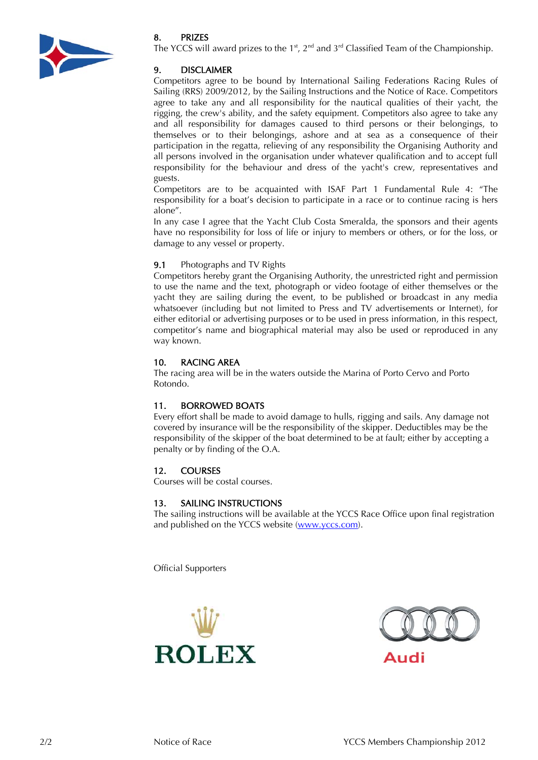

# 8. PRIZES

The YCCS will award prizes to the  $1<sup>st</sup>$ ,  $2<sup>nd</sup>$  and  $3<sup>rd</sup>$  Classified Team of the Championship.

# 9. DISCLAIMER

Competitors agree to be bound by International Sailing Federations Racing Rules of Sailing (RRS) 2009/2012, by the Sailing Instructions and the Notice of Race. Competitors agree to take any and all responsibility for the nautical qualities of their yacht, the rigging, the crew's ability, and the safety equipment. Competitors also agree to take any and all responsibility for damages caused to third persons or their belongings, to themselves or to their belongings, ashore and at sea as a consequence of their participation in the regatta, relieving of any responsibility the Organising Authority and all persons involved in the organisation under whatever qualification and to accept full responsibility for the behaviour and dress of the yacht's crew, representatives and guests.

Competitors are to be acquainted with ISAF Part 1 Fundamental Rule 4: "The responsibility for a boat's decision to participate in a race or to continue racing is hers alone".

In any case I agree that the Yacht Club Costa Smeralda, the sponsors and their agents have no responsibility for loss of life or injury to members or others, or for the loss, or damage to any vessel or property.

# 9.1 Photographs and TV Rights

Competitors hereby grant the Organising Authority, the unrestricted right and permission to use the name and the text, photograph or video footage of either themselves or the yacht they are sailing during the event, to be published or broadcast in any media whatsoever (including but not limited to Press and TV advertisements or Internet), for either editorial or advertising purposes or to be used in press information, in this respect, competitor's name and biographical material may also be used or reproduced in any way known.

# 10. RACING AREA

The racing area will be in the waters outside the Marina of Porto Cervo and Porto Rotondo.

# 11. BORROWED BOATS

Every effort shall be made to avoid damage to hulls, rigging and sails. Any damage not covered by insurance will be the responsibility of the skipper. Deductibles may be the responsibility of the skipper of the boat determined to be at fault; either by accepting a penalty or by finding of the O.A.

# 12. COURSES

Courses will be costal courses.

# 13. SAILING INSTRUCTIONS

The sailing instructions will be available at the YCCS Race Office upon final registration and published on the YCCS website [\(www.yccs.com\)](http://www.yccs.com/).

Official Supporters



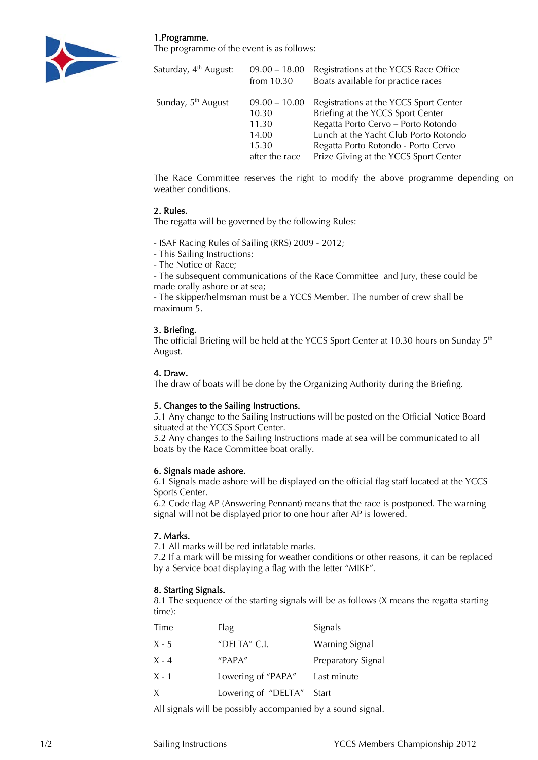1.Programme.



The programme of the event is as follows:

| Saturday, 4 <sup>th</sup> August: | $09.00 - 18.00$ | Registrations at the YCCS Race Office  |  |
|-----------------------------------|-----------------|----------------------------------------|--|
|                                   | from $10.30$    | Boats available for practice races     |  |
| Sunday, 5 <sup>th</sup> August    | $09.00 - 10.00$ | Registrations at the YCCS Sport Center |  |
|                                   | 10.30           | Briefing at the YCCS Sport Center      |  |
|                                   | 11.30           | Regatta Porto Cervo - Porto Rotondo    |  |
|                                   | 14.00           | Lunch at the Yacht Club Porto Rotondo  |  |
|                                   | 15.30           | Regatta Porto Rotondo - Porto Cervo    |  |
|                                   | after the race  | Prize Giving at the YCCS Sport Center  |  |

The Race Committee reserves the right to modify the above programme depending on weather conditions.

#### 2. Rules.

The regatta will be governed by the following Rules:

- ISAF Racing Rules of Sailing (RRS) 2009 - 2012;

- This Sailing Instructions;
- The Notice of Race;

- The subsequent communications of the Race Committee and Jury, these could be made orally ashore or at sea;

- The skipper/helmsman must be a YCCS Member. The number of crew shall be maximum 5.

# 3. Briefing.

The official Briefing will be held at the YCCS Sport Center at 10.30 hours on Sunday  $5<sup>th</sup>$ August.

#### 4. Draw.

The draw of boats will be done by the Organizing Authority during the Briefing.

# 5. Changes to the Sailing Instructions.

5.1 Any change to the Sailing Instructions will be posted on the Official Notice Board situated at the YCCS Sport Center.

5.2 Any changes to the Sailing Instructions made at sea will be communicated to all boats by the Race Committee boat orally.

#### 6. Signals made ashore.

6.1 Signals made ashore will be displayed on the official flag staff located at the YCCS Sports Center.

6.2 Code flag AP (Answering Pennant) means that the race is postponed. The warning signal will not be displayed prior to one hour after AP is lowered.

# 7. Marks.

7.1 All marks will be red inflatable marks.

7.2 If a mark will be missing for weather conditions or other reasons, it can be replaced by a Service boat displaying a flag with the letter "MIKE".

# 8. Starting Signals.

8.1 The sequence of the starting signals will be as follows (X means the regatta starting time):

| Time         | Flag                | Signals               |
|--------------|---------------------|-----------------------|
| $X - 5$      | "DELTA" $C.I.$      | <b>Warning Signal</b> |
| $X - 4$      | "PAPA"              | Preparatory Signal    |
| X - 1        | Lowering of "PAPA"  | Last minute           |
| $\mathsf{X}$ | Lowering of "DELTA" | Start                 |

All signals will be possibly accompanied by a sound signal.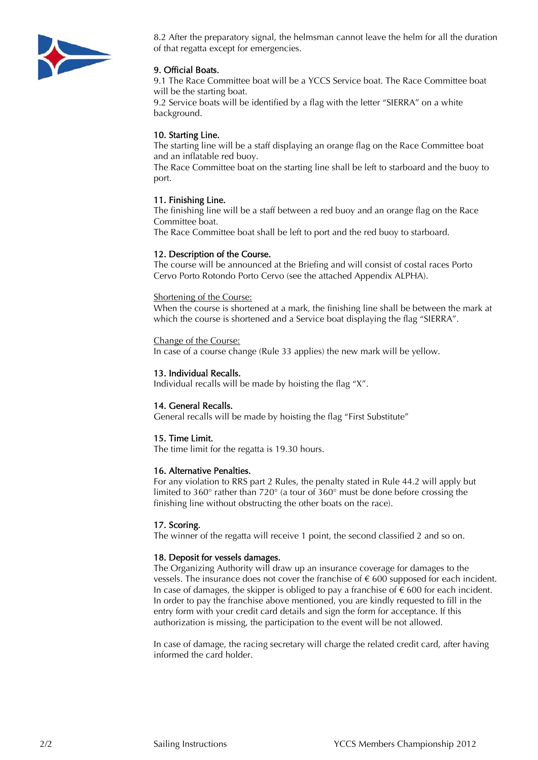

8.2 After the preparatory signal, the helmsman cannot leave the helm for all the duration of that regatta except for emergencies.

# 9. Official Boats.

9.1 The Race Committee boat will be a YCCS Service boat. The Race Committee boat will be the starting boat.

9.2 Service boats will be identified by a flag with the letter "SIERRA" on a white background.

#### 10. Starting Line.

The starting line will be a staff displaying an orange flag on the Race Committee boat and an inflatable red buoy.

The Race Committee boat on the starting line shall be left to starboard and the buoy to port.

#### 11. Finishing Line.

The finishing line will be a staff between a red buoy and an orange flag on the Race Committee boat.

The Race Committee boat shall be left to port and the red buoy to starboard.

#### 12. Description of the Course.

The course will be announced at the Briefing and will consist of costal races Porto Cervo Porto Rotondo Porto Cervo (see the attached Appendix ALPHA).

#### Shortening of the Course:

When the course is shortened at a mark, the finishing line shall be between the mark at which the course is shortened and a Service boat displaying the flag "SIERRA".

#### Change of the Course:

In case of a course change (Rule 33 applies) the new mark will be yellow.

#### 13. Individual Recalls.

Individual recalls will be made by hoisting the flag "X".

#### 14. General Recalls.

General recalls will be made by hoisting the flag "First Substitute"

#### 15. Time Limit.

The time limit for the regatta is 19.30 hours.

#### 16. Alternative Penalties.

For any violation to RRS part 2 Rules, the penalty stated in Rule 44.2 will apply but limited to 360° rather than 720° (a tour of 360° must be done before crossing the finishing line without obstructing the other boats on the race).

#### 17. Scoring.

The winner of the regatta will receive 1 point, the second classified 2 and so on.

#### 18. Deposit for vessels damages.

The Organizing Authority will draw up an insurance coverage for damages to the vessels. The insurance does not cover the franchise of  $\epsilon$  600 supposed for each incident. In case of damages, the skipper is obliged to pay a franchise of  $\epsilon$  600 for each incident. In order to pay the franchise above mentioned, you are kindly requested to fill in the entry form with your credit card details and sign the form for acceptance. If this authorization is missing, the participation to the event will be not allowed.

In case of damage, the racing secretary will charge the related credit card, after having informed the card holder.